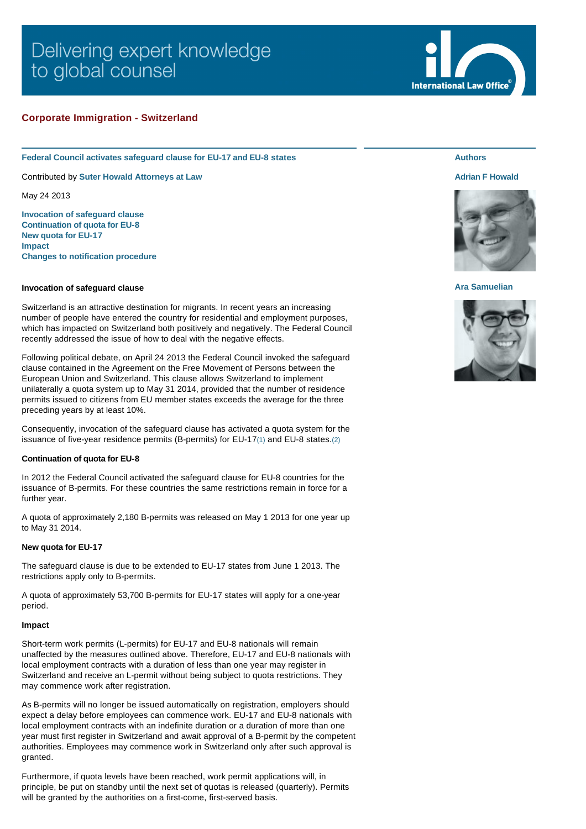# Delivering expert knowledge to global counsel

# **Corporate Immigration - Switzerland**

**Federal Council activates safeguard clause for EU-17 and EU-8 states**

Contributed by **[Suter Howald Attorneys at Law](http://www.internationallawoffice.com/gesr.ashx?l=7JC2YSH)**

May 24 2013

**[Invocation of safeguard clause](#page-0-0) [Continuation of quota for EU-8](#page-0-1) [New quota for EU-17](#page-0-2) [Impact](#page-0-3) [Changes to notification procedure](#page-1-0)**

## <span id="page-0-0"></span>**Invocation of safeguard clause**

Switzerland is an attractive destination for migrants. In recent years an increasing number of people have entered the country for residential and employment purposes, which has impacted on Switzerland both positively and negatively. The Federal Council recently addressed the issue of how to deal with the negative effects.

Following political debate, on April 24 2013 the Federal Council invoked the safeguard clause contained in the Agreement on the Free Movement of Persons between the European Union and Switzerland. This clause allows Switzerland to implement unilaterally a quota system up to May 31 2014, provided that the number of residence permits issued to citizens from EU member states exceeds the average for the three preceding years by at least 10%.

Consequently, invocation of the safeguard clause has activated a quota system for the issuance of five-year residence permits (B-permits) for EU-17[\(1\)](#page-1-1) and EU-8 states.[\(2\)](#page-1-2)

## <span id="page-0-1"></span>**Continuation of quota for EU-8**

In 2012 the Federal Council activated the safeguard clause for EU-8 countries for the issuance of B-permits. For these countries the same restrictions remain in force for a further year.

A quota of approximately 2,180 B-permits was released on May 1 2013 for one year up to May 31 2014.

### <span id="page-0-2"></span>**New quota for EU-17**

The safeguard clause is due to be extended to EU-17 states from June 1 2013. The restrictions apply only to B-permits.

A quota of approximately 53,700 B-permits for EU-17 states will apply for a one-year period.

#### <span id="page-0-3"></span>**Impact**

Short-term work permits (L-permits) for EU-17 and EU-8 nationals will remain unaffected by the measures outlined above. Therefore, EU-17 and EU-8 nationals with local employment contracts with a duration of less than one year may register in Switzerland and receive an L-permit without being subject to quota restrictions. They may commence work after registration.

As B-permits will no longer be issued automatically on registration, employers should expect a delay before employees can commence work. EU-17 and EU-8 nationals with local employment contracts with an indefinite duration or a duration of more than one year must first register in Switzerland and await approval of a B-permit by the competent authorities. Employees may commence work in Switzerland only after such approval is granted.

Furthermore, if quota levels have been reached, work permit applications will, in principle, be put on standby until the next set of quotas is released (quarterly). Permits will be granted by the authorities on a first-come, first-served basis.



**International Law Office** 

# **[Adrian F Howald](http://www.internationallawoffice.com/gesr.ashx?l=7JC2YUT)**



## **[Ara Samuelian](http://www.internationallawoffice.com/gesr.ashx?l=7JC2YT7)**